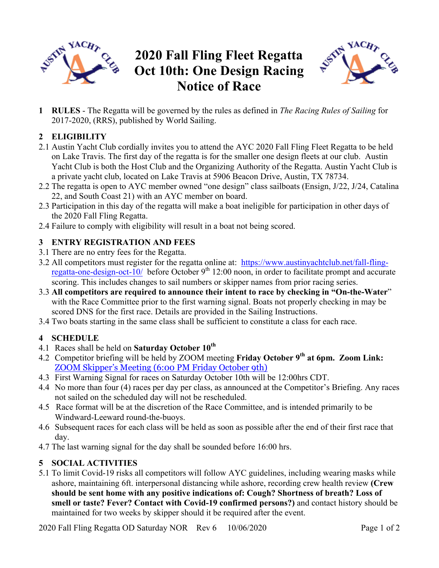

# **2020 Fall Fling Fleet Regatta Oct 10th: One Design Racing Notice of Race**



**1 RULES** - The Regatta will be governed by the rules as defined in *The Racing Rules of Sailing* for 2017-2020, (RRS), published by World Sailing.

## **2 ELIGIBILITY**

- 2.1 Austin Yacht Club cordially invites you to attend the AYC 2020 Fall Fling Fleet Regatta to be held on Lake Travis. The first day of the regatta is for the smaller one design fleets at our club. Austin Yacht Club is both the Host Club and the Organizing Authority of the Regatta. Austin Yacht Club is a private yacht club, located on Lake Travis at 5906 Beacon Drive, Austin, TX 78734.
- 2.2 The regatta is open to AYC member owned "one design" class sailboats (Ensign, J/22, J/24, Catalina 22, and South Coast 21) with an AYC member on board.
- 2.3 Participation in this day of the regatta will make a boat ineligible for participation in other days of the 2020 Fall Fling Regatta.
- 2.4 Failure to comply with eligibility will result in a boat not being scored.

### **3 ENTRY REGISTRATION AND FEES**

- 3.1 There are no entry fees for the Regatta.
- 3.2 All competitors must register for the regatta online at: https://www.austinyachtclub.net/fall-flingregatta-one-design-oct-10/ before October 9<sup>th</sup> 12:00 noon, in order to facilitate prompt and accurate scoring. This includes changes to sail numbers or skipper names from prior racing series.
- 3.3 **All competitors are required to announce their intent to race by checking in "On-the-Water**" with the Race Committee prior to the first warning signal. Boats not properly checking in may be scored DNS for the first race. Details are provided in the Sailing Instructions.
- 3.4 Two boats starting in the same class shall be sufficient to constitute a class for each race.

### **4 SCHEDULE**

- 4.1 Races shall be held on **Saturday October 10th**
- 4.2 Competitor briefing will be held by ZOOM meeting **Friday October 9th at 6pm. Zoom Link:** ZOOM Skipper's Meeting (6:00 PM Friday October 9th)
- 4.3 First Warning Signal for races on Saturday October 10th will be 12:00hrs CDT.
- 4.4 No more than four (4) races per day per class, as announced at the Competitor's Briefing. Any races not sailed on the scheduled day will not be rescheduled.
- 4.5 Race format will be at the discretion of the Race Committee, and is intended primarily to be Windward-Leeward round-the-buoys.
- 4.6 Subsequent races for each class will be held as soon as possible after the end of their first race that day.
- 4.7 The last warning signal for the day shall be sounded before 16:00 hrs.

### **5 SOCIAL ACTIVITIES**

5.1 To limit Covid-19 risks all competitors will follow AYC guidelines, including wearing masks while ashore, maintaining 6ft. interpersonal distancing while ashore, recording crew health review **(Crew should be sent home with any positive indications of: Cough? Shortness of breath? Loss of smell or taste? Fever? Contact with Covid-19 confirmed persons?)** and contact history should be maintained for two weeks by skipper should it be required after the event.

2020 Fall Fling Regatta OD Saturday NOR Rev 6 10/06/2020 Page 1 of 2